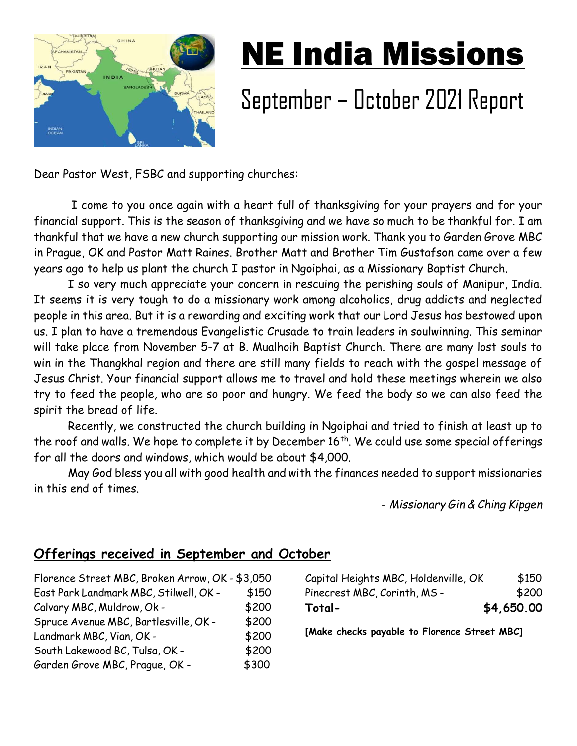

## NE India Missions

## September – October 2021 Report

Dear Pastor West, FSBC and supporting churches:

 I come to you once again with a heart full of thanksgiving for your prayers and for your financial support. This is the season of thanksgiving and we have so much to be thankful for. I am thankful that we have a new church supporting our mission work. Thank you to Garden Grove MBC in Prague, OK and Pastor Matt Raines. Brother Matt and Brother Tim Gustafson came over a few years ago to help us plant the church I pastor in Ngoiphai, as a Missionary Baptist Church.

I so very much appreciate your concern in rescuing the perishing souls of Manipur, India. It seems it is very tough to do a missionary work among alcoholics, drug addicts and neglected people in this area. But it is a rewarding and exciting work that our Lord Jesus has bestowed upon us. I plan to have a tremendous Evangelistic Crusade to train leaders in soulwinning. This seminar will take place from November 5-7 at B. Mualhoih Baptist Church. There are many lost souls to win in the Thangkhal region and there are still many fields to reach with the gospel message of Jesus Christ. Your financial support allows me to travel and hold these meetings wherein we also try to feed the people, who are so poor and hungry. We feed the body so we can also feed the spirit the bread of life.

Recently, we constructed the church building in Ngoiphai and tried to finish at least up to the roof and walls. We hope to complete it by December 16<sup>th</sup>. We could use some special offerings for all the doors and windows, which would be about \$4,000.

May God bless you all with good health and with the finances needed to support missionaries in this end of times.

- Missionary Gin & Ching Kipgen

## Offerings received in September and October

Florence Street MBC, Broken Arrow, OK - \$3,050 East Park Landmark MBC, Stilwell, OK - \$150 Calvary MBC, Muldrow, Ok - \$200 Spruce Avenue MBC, Bartlesville, OK - \$200 Landmark MBC, Vian, OK - \$200 South Lakewood BC, Tulsa, OK - \$200 Garden Grove MBC, Prague, OK - \$300

Capital Heights MBC, Holdenville, OK \$150 Pinecrest MBC, Corinth, MS - \$200 Total- \$4,650.00

[Make checks payable to Florence Street MBC]